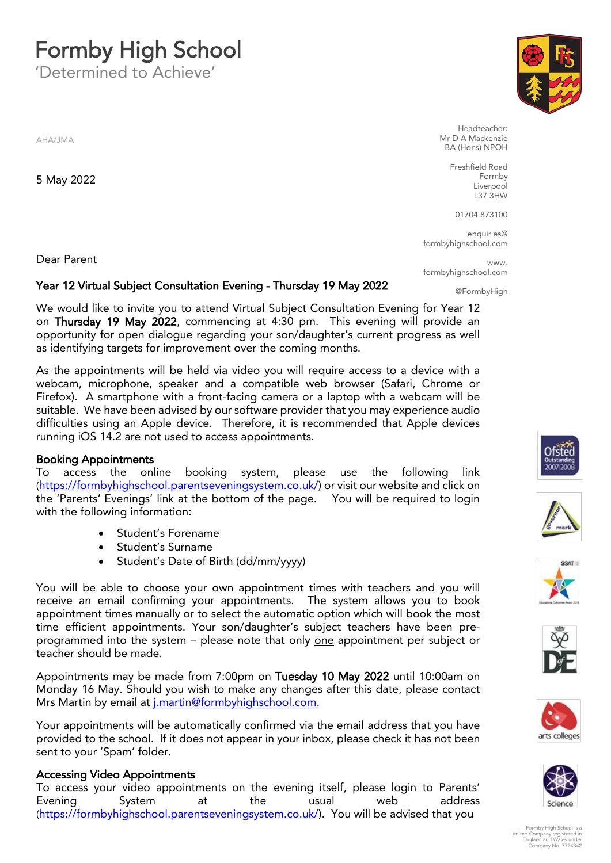**Formby High School**<br>Determined to Achieve'

'Determined to Achieve'

AHA/JMA

5 May 2022 5 May 2022

Dear Parent Dear Parent

## Year 12 Virtual Subject Consultation Evening - Thursday 19 May 2022

We would like to invite you to attend Virtual Subject Consultation Evening for Year 12 on Thursday 19 May 2022, commencing at 4:30 pm. This evening will provide an opportunity for open dialogue regarding your son/daughter's current progress as well opportunity for open diagonal graph of the coming your songless as well as well as well as well as well as well as well as well as well as well as well as well as well as well as well as well as well as well as well as wel as identifying targets for improvement over the coming months.

As the appointments will be held via video you will require access to a device with a webcam, microphone, speaker and a compatible web browser (Safari, Chrome or Firefox). A smartphone with a front-facing camera or a laptop with a webcam will be suitable. We have been advised by our software provider that you may experience audio difficulties using an Apple device. Therefore, it is recommended that Apple devices different terms and positive device. Therefore, it is recommended that Apple devices running iOS 14.2 are not used to access appointments.

Booking Appointments<br>To access the online booking system, please [To access the online booking system, please](https://formbyhighschool.parentseveningsystem.co.uk/) use the following link<br>(https://formbyhighschool.parentseveningsystem.co.uk/) or visit our website and click on the 'Parents' Evenings' link at the bottom of the page. You will be required to login with the following information: with the following information:

- Student's Forename<br>• Student's Surname
- Student's Surname
- Student's Date of Birth (dd/mm/yyyy)

You will be able to choose your own appointment times with teachers and you will receive an email confirming your appointments. The system allows you to book appointment times manually or to select the automatic option which will book the most time efficient appointments. Your son/daughter's subject teachers have been preprogrammed into the system – please note that only one appointment per subject or teacher should be made. teacher should be made.

Appointments may be made from 7:00pm on **Tuesday 10 May 2022** until 10:00am on<br>Monday 16 May. Should you wish to make any changes after this date, please contact Mrs Martin by email at  $\frac{1}{2}$  martin@formbyhighschool com Mrs Martin by email at j.martin@formbyhighschool.com.

Your appointments will be automatically confirmed via the email address that you have<br>provided to the school. If it does not appear in your inbox, please check it has not been provided to the school. If it does not appear in your inbox, prease check it has not been.<br>sent to your 'Spam' folder sent to your  $\mathbb{R}^n$ 

Accessing Video Appointments To access your video appointments on the evening item, please login to Parents'<br>Evening System at the evening web address Evening<br>(https://formbyhighschool.parentseveningsystem.co.uk/) You will be advised that you (https://formby.co.uk/). The advised that  $\frac{1}{2}$  and  $\frac{1}{2}$ . You will be advised that  $\frac{1}{2}$ 



Headteacher:<br>Mr D A Mackenzie BA (Hons) NPQH  $\mathbf{A} \rightarrow \mathbf{B}$ 

> Freshfield Road Liverpool  $L37$   $3HW$

> 01704 873100

en<br>School com formbyhighschool.com

www. l com formbyhighschool.com

 $\mathcal{L}$  and  $\mathcal{L}$